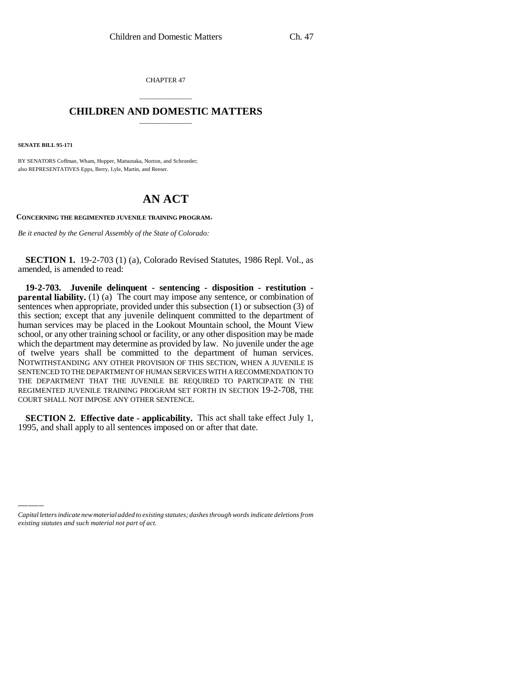CHAPTER 47

## \_\_\_\_\_\_\_\_\_\_\_\_\_\_\_ **CHILDREN AND DOMESTIC MATTERS** \_\_\_\_\_\_\_\_\_\_\_\_\_\_\_

**SENATE BILL 95-171**

BY SENATORS Coffman, Wham, Hopper, Matsunaka, Norton, and Schroeder; also REPRESENTATIVES Epps, Berry, Lyle, Martin, and Reeser.

## **AN ACT**

**CONCERNING THE REGIMENTED JUVENILE TRAINING PROGRAM.**

*Be it enacted by the General Assembly of the State of Colorado:*

**SECTION 1.** 19-2-703 (1) (a), Colorado Revised Statutes, 1986 Repl. Vol., as amended, is amended to read:

**19-2-703. Juvenile delinquent - sentencing - disposition - restitution parental liability.** (1) (a) The court may impose any sentence, or combination of sentences when appropriate, provided under this subsection (1) or subsection (3) of this section; except that any juvenile delinquent committed to the department of human services may be placed in the Lookout Mountain school, the Mount View school, or any other training school or facility, or any other disposition may be made which the department may determine as provided by law. No juvenile under the age of twelve years shall be committed to the department of human services. NOTWITHSTANDING ANY OTHER PROVISION OF THIS SECTION, WHEN A JUVENILE IS SENTENCED TO THE DEPARTMENT OF HUMAN SERVICES WITH A RECOMMENDATION TO THE DEPARTMENT THAT THE JUVENILE BE REQUIRED TO PARTICIPATE IN THE REGIMENTED JUVENILE TRAINING PROGRAM SET FORTH IN SECTION 19-2-708, THE COURT SHALL NOT IMPOSE ANY OTHER SENTENCE.

**SECTION 2. Effective date - applicability.** This act shall take effect July 1, 1995, and shall apply to all sentences imposed on or after that date.

*Capital letters indicate new material added to existing statutes; dashes through words indicate deletions from existing statutes and such material not part of act.*